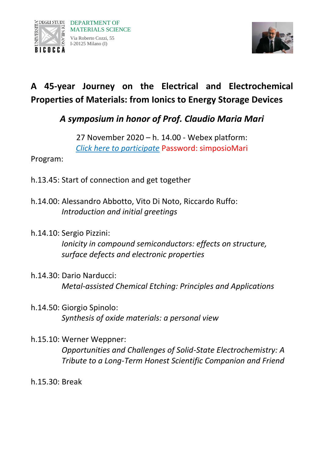



## **A 45-year Journey on the Electrical and Electrochemical Properties of Materials: from Ionics to Energy Storage Devices**

*A symposium in honor of Prof. Claudio Maria Mari*

27 November 2020 – h. 14.00 - Webex platform: *[Click here to participate](https://unimib.webex.com/unimib/onstage/g.php?MTID=e86b586536b04c16441b196de38246e65)* Password: simposioMari

Program:

- h.13.45: Start of connection and get together
- h.14.00: Alessandro Abbotto, Vito Di Noto, Riccardo Ruffo: *Introduction and initial greetings*
- h.14.10: Sergio Pizzini:

*Ionicity in compound semiconductors: effects on structure, surface defects and electronic properties*

- h.14.30: Dario Narducci: *Metal-assisted Chemical Etching: Principles and Applications*
- h.14.50: Giorgio Spinolo: *Synthesis of oxide materials: a personal view*
- h.15.10: Werner Weppner: *Opportunities and Challenges of Solid-State Electrochemistry: A Tribute to a Long-Term Honest Scientific Companion and Friend*
- h.15.30: Break